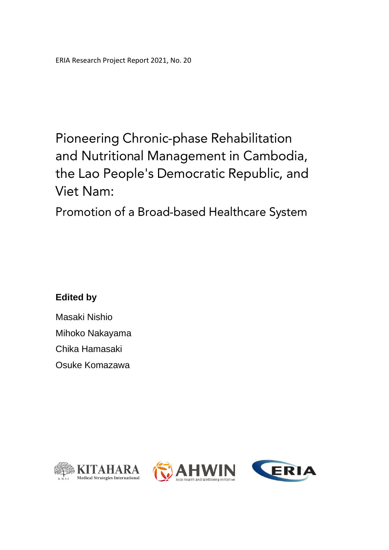## **Pioneering Chronic-phase Rehabilitation** and Nutritional Management in Cambodia, the Lao People's Democratic Republic, and Viet Nam:

Promotion of a Broad-based Healthcare System

## **Edited by**

Masaki Nishio Mihoko Nakayama Chika Hamasaki Osuke Komazawa